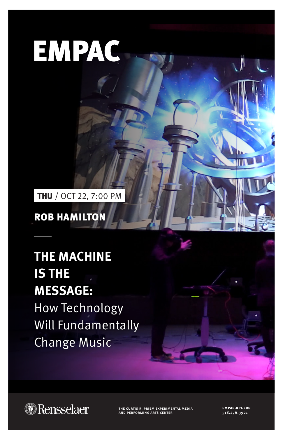## **EMPAC**

THU / OCT 22, 7:00 PM

ROB HAMILTON

## THE MACHINE **IS THE MESSAGE:**

How Technology Will Fundamentally Change Music



the curtis r. priem experimental media and performing arts center

empac.rpi.edu 518.276.3921

Ï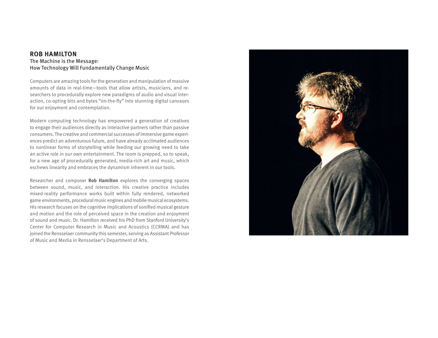## **ROB HAMILTON** The Machine is the Message: How Technology Will Fundamentally Change Music

Computers are amazing tools for the generation and manipulation of massive amounts of data in real-time—tools that allow artists, musicians, and researchers to procedurally explore new paradigms of audio and visual interaction, co-opting bits and bytes "on-the-fly" into stunning digital canvases for our enjoyment and contemplation.

Modern computing technology has empowered a generation of creatives to engage their audiences directly as interactive partners rather than passive consumers. The creative and commercial successes of immersive game experiences predict an adventurous future, and have already acclimated audiences to nonlinear forms of storytelling while feeding our growing need to take an active role in our own entertainment. The room is prepped, so to speak, for a new age of procedurally generated, media-rich art and music, which eschews linearity and embraces the dynamism inherent in our tools.

Researcher and composer **Rob Hamilton** explores the converging spaces between sound, music, and interaction. His creative practice includes mixed-reality performance works built within fully rendered, networked game environments, procedural music engines and mobile musical ecosystems. His research focuses on the cognitive implications of sonified musical gesture and motion and the role of perceived space in the creation and enjoyment of sound and music. Dr. Hamilton received his PhD from Stanford University's Center for Computer Research in Music and Acoustics (CCRMA) and has joined the Rensselaer community this semester, serving as Assistant Professor of Music and Media in Rensselaer's Department of Arts.